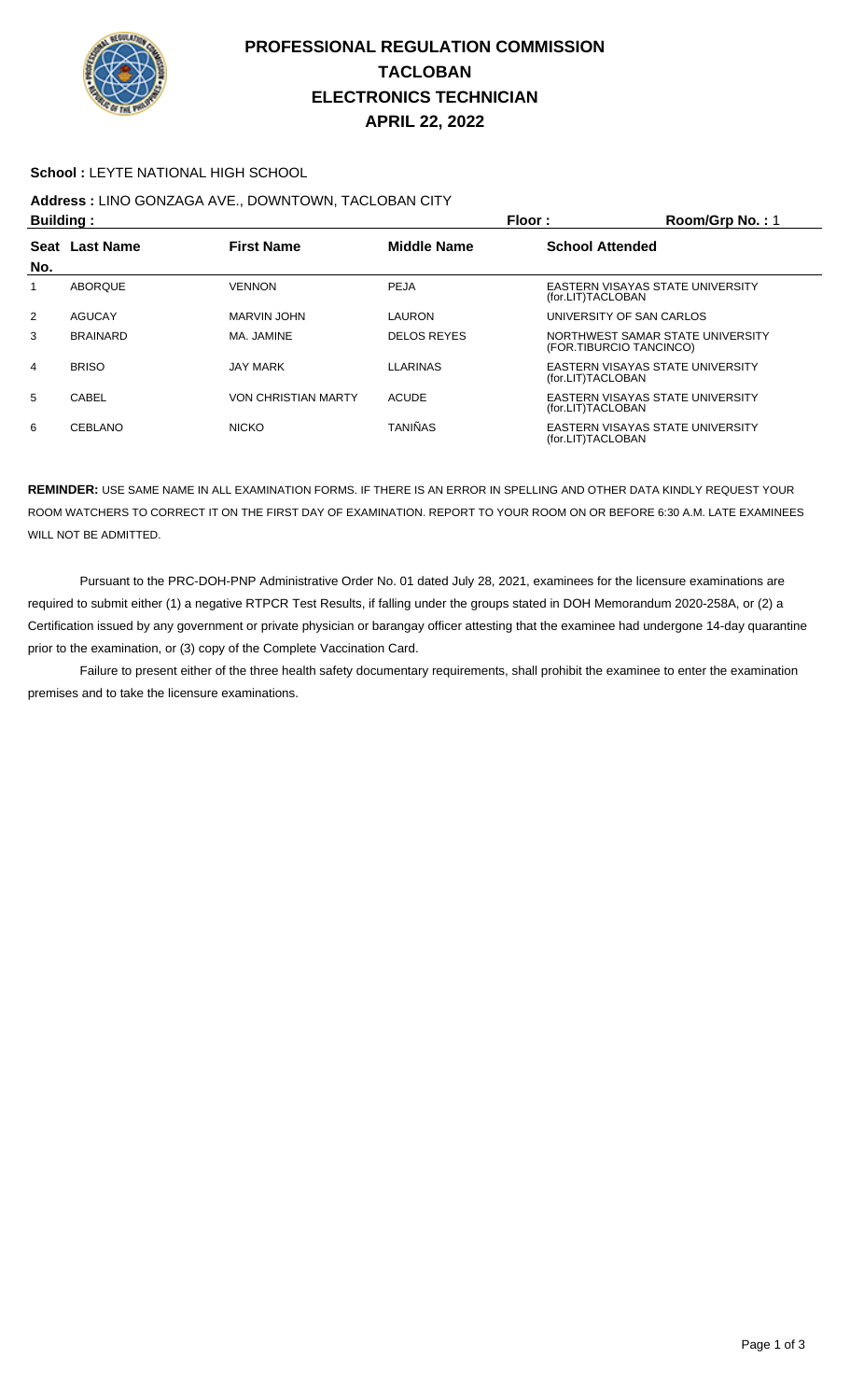

## **PROFESSIONAL REGULATION COMMISSION TACLOBAN ELECTRONICS TECHNICIAN APRIL 22, 2022**

#### **School :** LEYTE NATIONAL HIGH SCHOOL

## **Address :** LINO GONZAGA AVE., DOWNTOWN, TACLOBAN CITY

| <b>Building:</b> |                  |                            |                    | Floor:<br>Room/Grp No.: 1                                    |  |  |
|------------------|------------------|----------------------------|--------------------|--------------------------------------------------------------|--|--|
| Seat             | <b>Last Name</b> | <b>First Name</b>          | <b>Middle Name</b> | <b>School Attended</b>                                       |  |  |
| No.              |                  |                            |                    |                                                              |  |  |
|                  | <b>ABOROUE</b>   | <b>VENNON</b>              | PEJA               | EASTERN VISAYAS STATE UNIVERSITY<br>(for.LIT)TACLOBAN        |  |  |
| $\overline{2}$   | AGUCAY           | MARVIN JOHN                | LAURON             | UNIVERSITY OF SAN CARLOS                                     |  |  |
| 3                | <b>BRAINARD</b>  | MA. JAMINE                 | <b>DELOS REYES</b> | NORTHWEST SAMAR STATE UNIVERSITY<br>(FOR.TIBURCIO TANCINCO)  |  |  |
| 4                | <b>BRISO</b>     | <b>JAY MARK</b>            | <b>LLARINAS</b>    | EASTERN VISAYAS STATE UNIVERSITY<br>(for.LIT)TACLOBAN        |  |  |
| 5                | CABEL            | <b>VON CHRISTIAN MARTY</b> | <b>ACUDE</b>       | EASTERN VISAYAS STATE UNIVERSITY<br>(for.LIT)TACLOBAN        |  |  |
| 6                | <b>CEBLANO</b>   | <b>NICKO</b>               | <b>TANIÑAS</b>     | <b>EASTERN VISAYAS STATE UNIVERSITY</b><br>(for.LIT)TACLOBAN |  |  |

**REMINDER:** USE SAME NAME IN ALL EXAMINATION FORMS. IF THERE IS AN ERROR IN SPELLING AND OTHER DATA KINDLY REQUEST YOUR ROOM WATCHERS TO CORRECT IT ON THE FIRST DAY OF EXAMINATION. REPORT TO YOUR ROOM ON OR BEFORE 6:30 A.M. LATE EXAMINEES WILL NOT BE ADMITTED.

 Pursuant to the PRC-DOH-PNP Administrative Order No. 01 dated July 28, 2021, examinees for the licensure examinations are required to submit either (1) a negative RTPCR Test Results, if falling under the groups stated in DOH Memorandum 2020-258A, or (2) a Certification issued by any government or private physician or barangay officer attesting that the examinee had undergone 14-day quarantine prior to the examination, or (3) copy of the Complete Vaccination Card.

 Failure to present either of the three health safety documentary requirements, shall prohibit the examinee to enter the examination premises and to take the licensure examinations.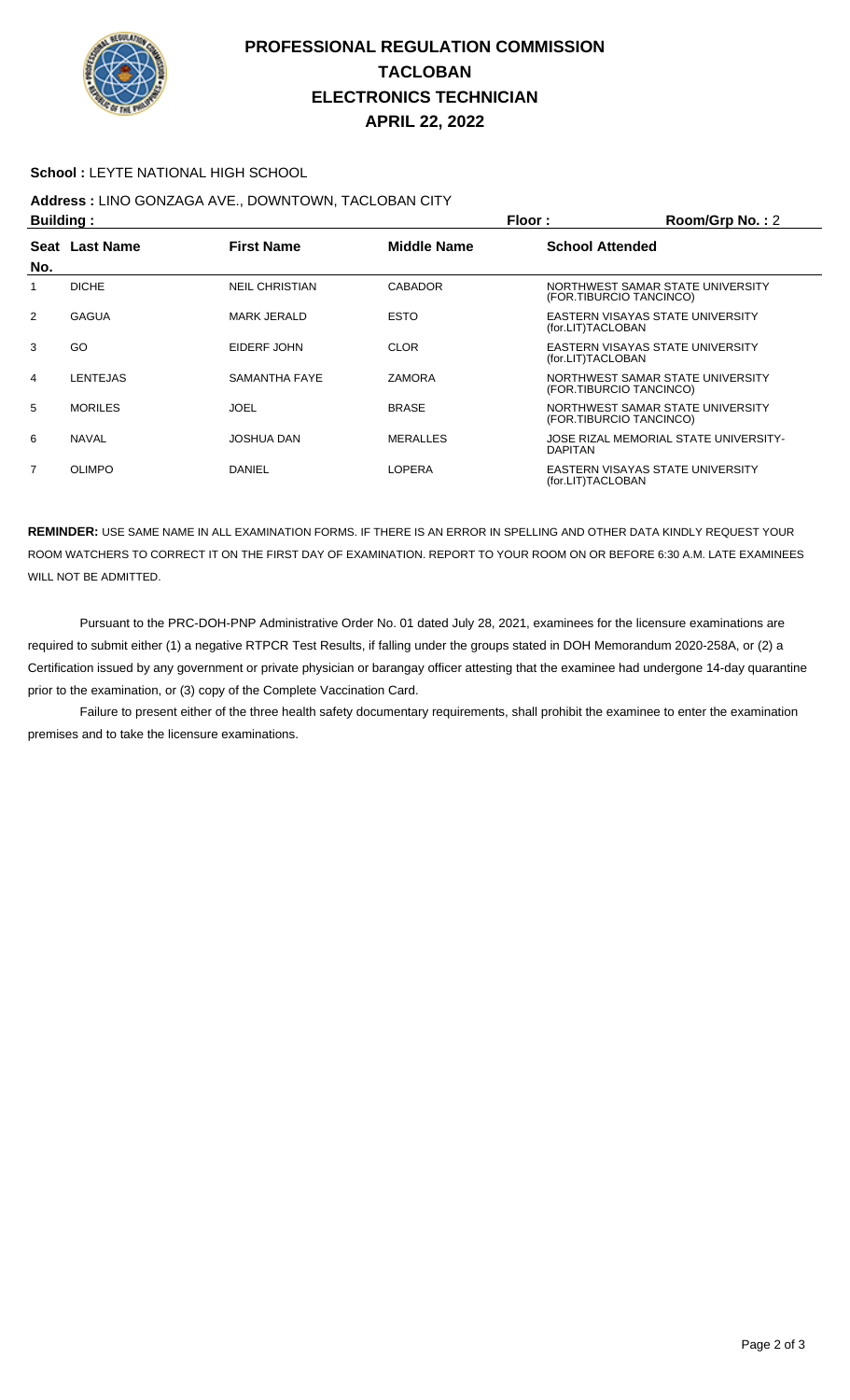

## **PROFESSIONAL REGULATION COMMISSION TACLOBAN ELECTRONICS TECHNICIAN APRIL 22, 2022**

#### **School :** LEYTE NATIONAL HIGH SCHOOL

### **Address :** LINO GONZAGA AVE., DOWNTOWN, TACLOBAN CITY

| Building: |                 |                       |                    | Floor:<br>Room/Grp No.: 2 |                                       |  |
|-----------|-----------------|-----------------------|--------------------|---------------------------|---------------------------------------|--|
|           | Seat Last Name  | <b>First Name</b>     | <b>Middle Name</b> | <b>School Attended</b>    |                                       |  |
| No.       |                 |                       |                    |                           |                                       |  |
|           | <b>DICHE</b>    | <b>NEIL CHRISTIAN</b> | <b>CABADOR</b>     | (FOR.TIBURCIO TANCINCO)   | NORTHWEST SAMAR STATE UNIVERSITY      |  |
| 2         | <b>GAGUA</b>    | <b>MARK JERALD</b>    | <b>ESTO</b>        | (for.LIT)TACLOBAN         | EASTERN VISAYAS STATE UNIVERSITY      |  |
| 3         | GO              | EIDERF JOHN           | <b>CLOR</b>        | (for.LIT)TACLOBAN         | EASTERN VISAYAS STATE UNIVERSITY      |  |
| 4         | <b>LENTEJAS</b> | SAMANTHA FAYE         | <b>ZAMORA</b>      | (FOR.TIBURCIO TANCINCO)   | NORTHWEST SAMAR STATE UNIVERSITY      |  |
| 5         | <b>MORILES</b>  | JOEL                  | <b>BRASE</b>       | (FOR.TIBURCIO TANCINCO)   | NORTHWEST SAMAR STATE UNIVERSITY      |  |
| 6         | <b>NAVAL</b>    | JOSHUA DAN            | <b>MERALLES</b>    | <b>DAPITAN</b>            | JOSE RIZAL MEMORIAL STATE UNIVERSITY- |  |
| 7         | <b>OLIMPO</b>   | DANIEL                | LOPERA             | (for.LIT)TACLOBAN         | EASTERN VISAYAS STATE UNIVERSITY      |  |

**REMINDER:** USE SAME NAME IN ALL EXAMINATION FORMS. IF THERE IS AN ERROR IN SPELLING AND OTHER DATA KINDLY REQUEST YOUR ROOM WATCHERS TO CORRECT IT ON THE FIRST DAY OF EXAMINATION. REPORT TO YOUR ROOM ON OR BEFORE 6:30 A.M. LATE EXAMINEES WILL NOT BE ADMITTED.

 Pursuant to the PRC-DOH-PNP Administrative Order No. 01 dated July 28, 2021, examinees for the licensure examinations are required to submit either (1) a negative RTPCR Test Results, if falling under the groups stated in DOH Memorandum 2020-258A, or (2) a Certification issued by any government or private physician or barangay officer attesting that the examinee had undergone 14-day quarantine prior to the examination, or (3) copy of the Complete Vaccination Card.

 Failure to present either of the three health safety documentary requirements, shall prohibit the examinee to enter the examination premises and to take the licensure examinations.